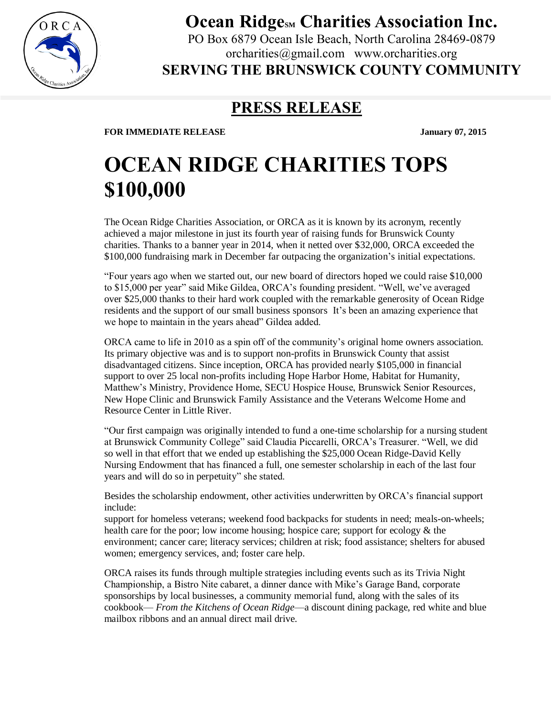

**Ocean Ridge**<sub>SM</sub> Charities Association Inc.

PO Box 6879 Ocean Isle Beach, North Carolina 28469-0879 orcharities@gmail.com www.orcharities.org

**SERVING THE BRUNSWICK COUNTY COMMUNITY**

## **PRESS RELEASE**

**FOR IMMEDIATE RELEASE** *January 07, 2015* 

## **OCEAN RIDGE CHARITIES TOPS \$100,000**

The Ocean Ridge Charities Association, or ORCA as it is known by its acronym, recently achieved a major milestone in just its fourth year of raising funds for Brunswick County charities. Thanks to a banner year in 2014, when it netted over \$32,000, ORCA exceeded the \$100,000 fundraising mark in December far outpacing the organization's initial expectations.

"Four years ago when we started out, our new board of directors hoped we could raise \$10,000 to \$15,000 per year" said Mike Gildea, ORCA's founding president. "Well, we've averaged over \$25,000 thanks to their hard work coupled with the remarkable generosity of Ocean Ridge residents and the support of our small business sponsors It's been an amazing experience that we hope to maintain in the years ahead" Gildea added.

ORCA came to life in 2010 as a spin off of the community's original home owners association. Its primary objective was and is to support non-profits in Brunswick County that assist disadvantaged citizens. Since inception, ORCA has provided nearly \$105,000 in financial support to over 25 local non-profits including Hope Harbor Home, Habitat for Humanity, Matthew's Ministry, Providence Home, SECU Hospice House, Brunswick Senior Resources, New Hope Clinic and Brunswick Family Assistance and the Veterans Welcome Home and Resource Center in Little River.

"Our first campaign was originally intended to fund a one-time scholarship for a nursing student at Brunswick Community College" said Claudia Piccarelli, ORCA's Treasurer. "Well, we did so well in that effort that we ended up establishing the \$25,000 Ocean Ridge-David Kelly Nursing Endowment that has financed a full, one semester scholarship in each of the last four years and will do so in perpetuity" she stated.

Besides the scholarship endowment, other activities underwritten by ORCA's financial support include:

support for homeless veterans; weekend food backpacks for students in need; meals-on-wheels; health care for the poor; low income housing; hospice care; support for ecology  $\&$  the environment; cancer care; literacy services; children at risk; food assistance; shelters for abused women; emergency services, and; foster care help.

ORCA raises its funds through multiple strategies including events such as its Trivia Night Championship, a Bistro Nite cabaret, a dinner dance with Mike's Garage Band, corporate sponsorships by local businesses, a community memorial fund, along with the sales of its cookbook— *From the Kitchens of Ocean Ridge*—a discount dining package, red white and blue mailbox ribbons and an annual direct mail drive.